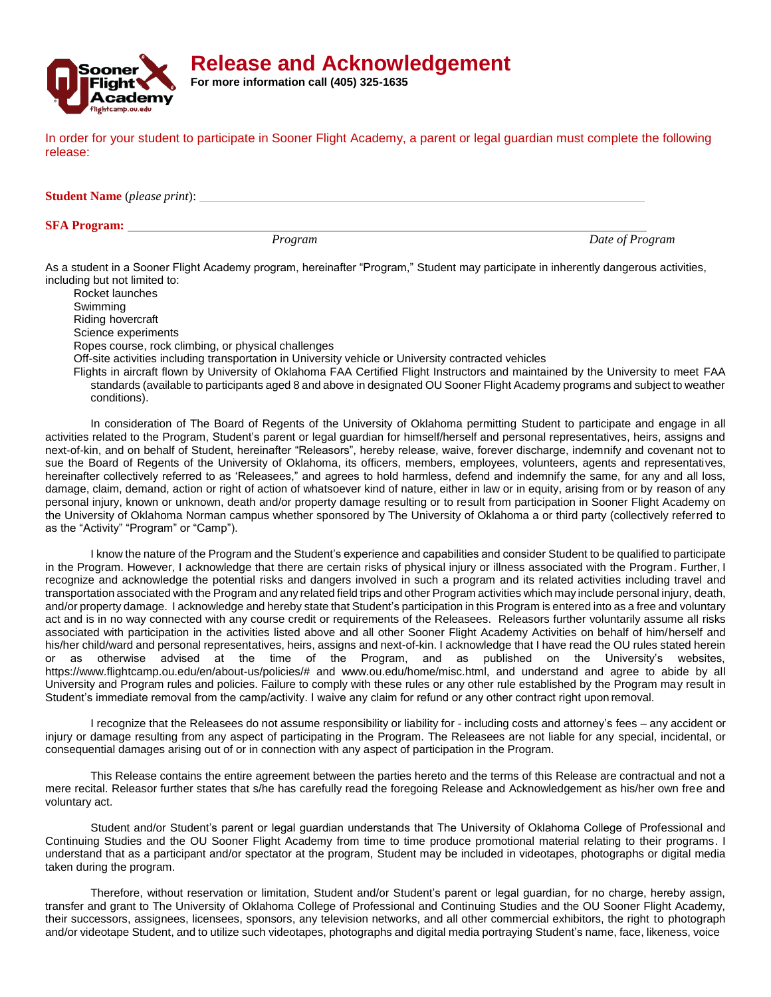

**Release and Acknowledgement**

**For more information call (405) 325-1635**

In order for your student to participate in Sooner Flight Academy, a parent or legal guardian must complete the following release:

**Student Name** (*please print*):

## **SFA Program:**

*Program Date of Program*

As a student in a Sooner Flight Academy program, hereinafter "Program," Student may participate in inherently dangerous activities, including but not limited to:

Rocket launches Swimming Riding hovercraft Science experiments Ropes course, rock climbing, or physical challenges Off-site activities including transportation in University vehicle or University contracted vehicles

Flights in aircraft flown by University of Oklahoma FAA Certified Flight Instructors and maintained by the University to meet FAA standards (available to participants aged 8 and above in designated OU Sooner Flight Academy programs and subject to weather conditions).

In consideration of The Board of Regents of the University of Oklahoma permitting Student to participate and engage in all activities related to the Program, Student's parent or legal guardian for himself/herself and personal representatives, heirs, assigns and next-of-kin, and on behalf of Student, hereinafter "Releasors", hereby release, waive, forever discharge, indemnify and covenant not to sue the Board of Regents of the University of Oklahoma, its officers, members, employees, volunteers, agents and representatives, hereinafter collectively referred to as 'Releasees," and agrees to hold harmless, defend and indemnify the same, for any and all loss, damage, claim, demand, action or right of action of whatsoever kind of nature, either in law or in equity, arising from or by reason of any personal injury, known or unknown, death and/or property damage resulting or to result from participation in Sooner Flight Academy on the University of Oklahoma Norman campus whether sponsored by The University of Oklahoma a or third party (collectively referred to as the "Activity" "Program" or "Camp").

I know the nature of the Program and the Student's experience and capabilities and consider Student to be qualified to participate in the Program. However, I acknowledge that there are certain risks of physical injury or illness associated with the Program. Further, I recognize and acknowledge the potential risks and dangers involved in such a program and its related activities including travel and transportation associated with the Program and any related field trips and other Program activities which may include personal injury, death, and/or property damage. I acknowledge and hereby state that Student's participation in this Program is entered into as a free and voluntary act and is in no way connected with any course credit or requirements of the Releasees. Releasors further voluntarily assume all risks associated with participation in the activities listed above and all other Sooner Flight Academy Activities on behalf of him/herself and his/her child/ward and personal representatives, heirs, assigns and next-of-kin. I acknowledge that I have read the OU rules stated herein or as otherwise advised at the time of the Program, and as published on the University's websites, https[://www.flightcamp.ou.edu/en/about-us/policies/#](http://www.flightcamp.ou.edu/en/about-us/policies/) and [www.ou.edu/home/misc.html,](http://www.ou.edu/home/misc.html) and understand and agree to abide by all University and Program rules and policies. Failure to comply with these rules or any other rule established by the Program may result in Student's immediate removal from the camp/activity. I waive any claim for refund or any other contract right upon removal.

I recognize that the Releasees do not assume responsibility or liability for - including costs and attorney's fees – any accident or injury or damage resulting from any aspect of participating in the Program. The Releasees are not liable for any special, incidental, or consequential damages arising out of or in connection with any aspect of participation in the Program.

This Release contains the entire agreement between the parties hereto and the terms of this Release are contractual and not a mere recital. Releasor further states that s/he has carefully read the foregoing Release and Acknowledgement as his/her own free and voluntary act.

Student and/or Student's parent or legal guardian understands that The University of Oklahoma College of Professional and Continuing Studies and the OU Sooner Flight Academy from time to time produce promotional material relating to their programs. I understand that as a participant and/or spectator at the program, Student may be included in videotapes, photographs or digital media taken during the program.

Therefore, without reservation or limitation, Student and/or Student's parent or legal guardian, for no charge, hereby assign, transfer and grant to The University of Oklahoma College of Professional and Continuing Studies and the OU Sooner Flight Academy, their successors, assignees, licensees, sponsors, any television networks, and all other commercial exhibitors, the right to photograph and/or videotape Student, and to utilize such videotapes, photographs and digital media portraying Student's name, face, likeness, voice